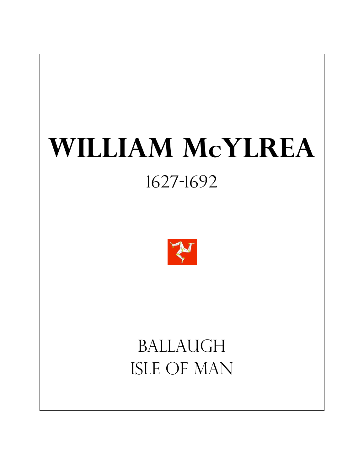# **William McYlrea** 1627-1692



## Ballaugh Isle of man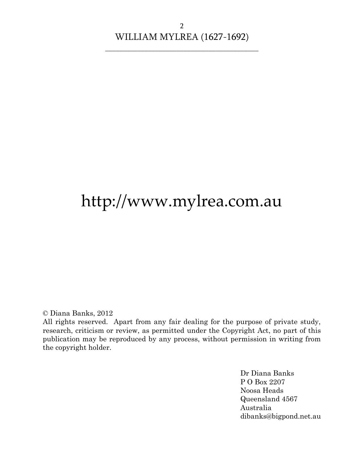## http://www.mylrea.com.au

© Diana Banks, 2012

All rights reserved. Apart from any fair dealing for the purpose of private study, research, criticism or review, as permitted under the Copyright Act, no part of this publication may be reproduced by any process, without permission in writing from the copyright holder.

> Dr Diana Banks P O Box 2207 Noosa Heads Queensland 4567 Australia dibanks@bigpond.net.au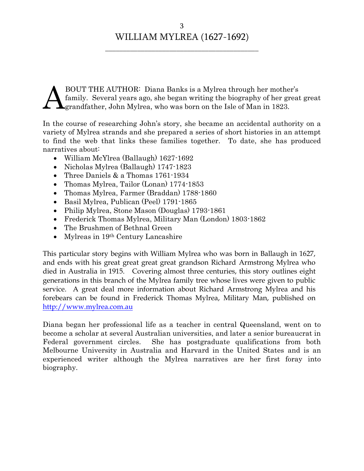BOUT THE AUTHOR: Diana Banks is a Mylrea through her mother's family. Several years ago, she began writing the biography of her great great grandfather, John Mylrea, who was born on the Isle of Man in 1823. A

In the course of researching John's story, she became an accidental authority on a variety of Mylrea strands and she prepared a series of short histories in an attempt to find the web that links these families together. To date, she has produced narratives about:

- William McYlrea (Ballaugh) 1627-1692
- Nicholas Mylrea (Ballaugh) 1747-1823
- Three Daniels & a Thomas 1761-1934
- Thomas Mylrea, Tailor (Lonan) 1774-1853
- Thomas Mylrea, Farmer (Braddan) 1788-1860
- Basil Mylrea, Publican (Peel) 1791-1865
- Philip Mylrea, Stone Mason (Douglas) 1793-1861
- Frederick Thomas Mylrea, Military Man (London) 1803-1862
- The Brushmen of Bethnal Green
- Mylreas in 19<sup>th</sup> Century Lancashire

This particular story begins with William Mylrea who was born in Ballaugh in 1627, and ends with his great great great great grandson Richard Armstrong Mylrea who died in Australia in 1915. Covering almost three centuries, this story outlines eight generations in this branch of the Mylrea family tree whose lives were given to public service. A great deal more information about Richard Armstrong Mylrea and his forebears can be found in Frederick Thomas Mylrea, Military Man, published on [http://www.mylrea.com.au](http://www.mylrea.com.au/)

Diana began her professional life as a teacher in central Queensland, went on to become a scholar at several Australian universities, and later a senior bureaucrat in Federal government circles. She has postgraduate qualifications from both Melbourne University in Australia and Harvard in the United States and is an experienced writer although the Mylrea narratives are her first foray into biography.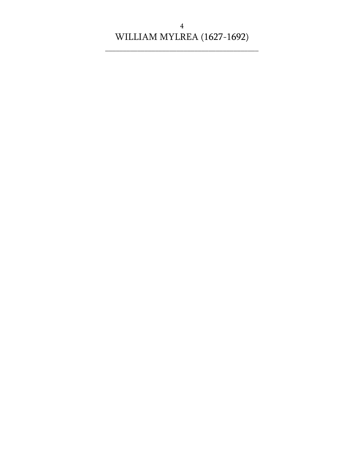\_\_\_\_\_\_\_\_\_\_\_\_\_\_\_\_\_\_\_\_\_\_\_\_\_\_\_\_\_\_\_\_\_\_\_\_\_\_\_\_\_\_\_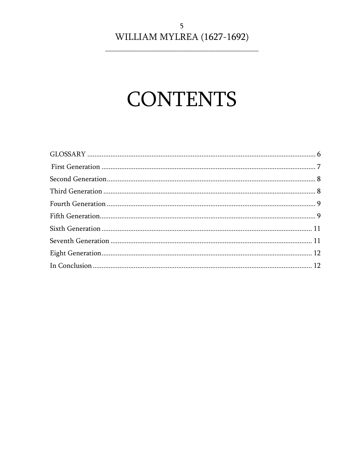# **CONTENTS**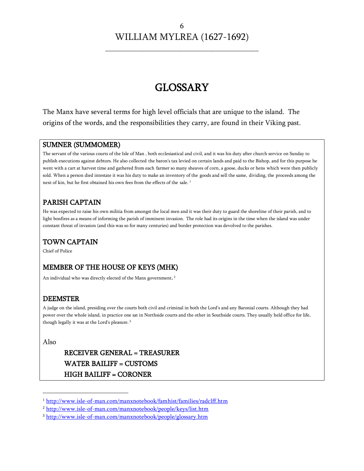## GLOSSARY

<span id="page-5-0"></span>The Manx have several terms for high level officials that are unique to the island. The origins of the words, and the responsibilities they carry, are found in their Viking past.

#### SUMNER (SUMMOMER)

The servant of the various courts of the Isle of Man , both ecclesiastical and civil, and it was his duty after church service on Sunday to publish executions against debtors. He also collected the baron's tax levied on certain lands and paid to the Bishop, and for this purpose he went with a cart at harvest time and gathered from each farmer so many sheaves of corn, a goose, ducks or hens which were then publicly sold. When a person died intestate it was his duty to make an inventory of the goods and sell the same, dividing, the proceeds among the next of kin, but he first obtained his own fees from the effects of the sale.<sup>1</sup>

#### PARISH CAPTAIN

He was expected to raise his own militia from amongst the local men and it was their duty to guard the shoreline of their parish, and to light bonfires as a means of informing the parish of imminent invasion. The role had its origins in the time when the island was under constant threat of invasion (and this was so for many centuries) and border protection was devolved to the parishes.

#### TOWN CAPTAIN

Chief of Police

#### MEMBER OF THE HOUSE OF KEYS (MHK)

An individual who was directly elected of the Manx government.<sup>2</sup>

#### DEEMSTER

A judge on the island, presiding over the courts both civil and criminal in both the Lord's and any Baronial courts. Although they had power over the whole island, in practice one sat in Northside courts and the other in Southside courts. They usually held office for life, though legally it was at the Lord's pleasure. <sup>3</sup>

Also

 $\overline{a}$ 

#### RECEIVER GENERAL = TREASURER WATER BAILIFF = CUSTOMS HIGH BAILIFF = CORONER

<sup>1</sup> <http://www.isle-of-man.com/manxnotebook/famhist/families/radclff.htm>

<sup>2</sup> <http://www.isle-of-man.com/manxnotebook/people/keys/list.htm>

<sup>3</sup> <http://www.isle-of-man.com/manxnotebook/people/glossary.htm>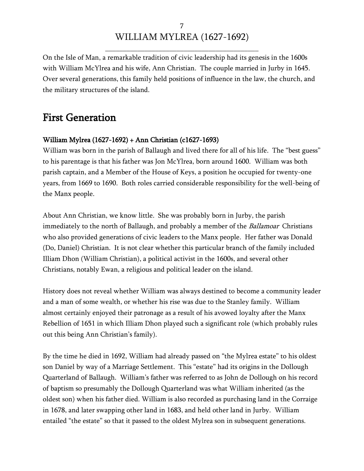\_\_\_\_\_\_\_\_\_\_\_\_\_\_\_\_\_\_\_\_\_\_\_\_\_\_\_\_\_\_\_\_\_\_\_\_\_\_\_\_\_\_\_

On the Isle of Man, a remarkable tradition of civic leadership had its genesis in the 1600s with William McYlrea and his wife, Ann Christian. The couple married in Jurby in 1645. Over several generations, this family held positions of influence in the law, the church, and the military structures of the island.

### <span id="page-6-0"></span>First Generation

#### William Mylrea (1627-1692) + Ann Christian (c1627-1693)

William was born in the parish of Ballaugh and lived there for all of his life. The "best guess" to his parentage is that his father was Jon McYlrea, born around 1600. William was both parish captain, and a Member of the House of Keys, a position he occupied for twenty-one years, from 1669 to 1690. Both roles carried considerable responsibility for the well-being of the Manx people.

About Ann Christian, we know little. She was probably born in Jurby, the parish immediately to the north of Ballaugh, and probably a member of the *Ballamoar* Christians who also provided generations of civic leaders to the Manx people. Her father was Donald (Do, Daniel) Christian. It is not clear whether this particular branch of the family included Illiam Dhon (William Christian), a political activist in the 1600s, and several other Christians, notably Ewan, a religious and political leader on the island.

History does not reveal whether William was always destined to become a community leader and a man of some wealth, or whether his rise was due to the Stanley family. William almost certainly enjoyed their patronage as a result of his avowed loyalty after the Manx Rebellion of 1651 in which Illiam Dhon played such a significant role (which probably rules out this being Ann Christian's family).

By the time he died in 1692, William had already passed on "the Mylrea estate" to his oldest son Daniel by way of a Marriage Settlement. This "estate" had its origins in the Dollough Quarterland of Ballaugh. William's father was referred to as John de Dollough on his record of baptism so presumably the Dollough Quarterland was what William inherited (as the oldest son) when his father died. William is also recorded as purchasing land in the Corraige in 1678, and later swapping other land in 1683, and held other land in Jurby. William entailed "the estate" so that it passed to the oldest Mylrea son in subsequent generations.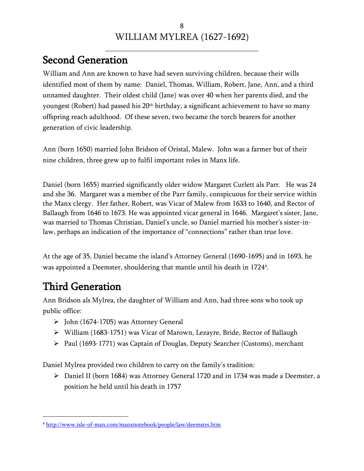## <span id="page-7-0"></span>Second Generation

William and Ann are known to have had seven surviving children, because their wills identified most of them by name: Daniel, Thomas, William, Robert, Jane, Ann, and a third unnamed daughter. Their oldest child (Jane) was over 40 when her parents died, and the youngest (Robert) had passed his 20<sup>th</sup> birthday, a significant achievement to have so many offspring reach adulthood. Of these seven, two became the torch bearers for another generation of civic leadership.

Ann (born 1650) married John Bridson of Oristal, Malew. John was a farmer but of their nine children, three grew up to fulfil important roles in Manx life.

Daniel (born 1655) married significantly older widow Margaret Curlett als Parr. He was 24 and she 36. Margaret was a member of the Parr family, conspicuous for their service within the Manx clergy. Her father, Robert, was Vicar of Malew from 1633 to 1640, and Rector of Ballaugh from 1646 to 1673. He was appointed vicar general in 1646. Margaret's sister, Jane, was married to Thomas Christian, Daniel's uncle, so Daniel married his mother's sister-inlaw, perhaps an indication of the importance of "connections" rather than true love.

At the age of 35, Daniel became the island's Attorney General (1690-1695) and in 1693, he was appointed a Deemster, shouldering that mantle until his death in 1724<sup>4</sup> .

## <span id="page-7-1"></span>Third Generation

 $\overline{a}$ 

Ann Bridson als Mylrea, the daughter of William and Ann, had three sons who took up public office:

- $\triangleright$  John (1674-1705) was Attorney General
- William (1683-1751) was Vicar of Marown, Lezayre, Bride, Rector of Ballaugh
- $\triangleright$  Paul (1693-1771) was Captain of Douglas, Deputy Searcher (Customs), merchant

Daniel Mylrea provided two children to carry on the family's tradition:

 Daniel II (born 1684) was Attorney General 1720 and in 1734 was made a Deemster, a position he held until his death in 1757

<sup>4</sup> <http://www.isle-of-man.com/manxnotebook/people/law/deemstrs.htm>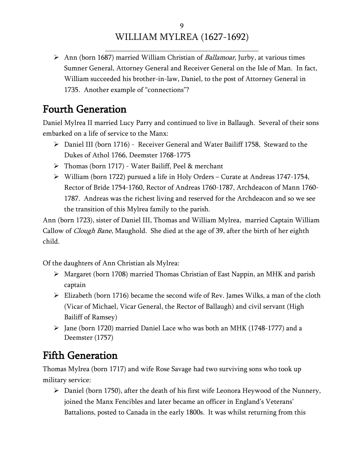\_\_\_\_\_\_\_\_\_\_\_\_\_\_\_\_\_\_\_\_\_\_\_\_\_\_\_\_\_\_\_\_\_\_\_\_\_\_\_\_\_\_\_

 $\triangleright$  Ann (born 1687) married William Christian of *Ballamoar*, Jurby, at various times Sumner General, Attorney General and Receiver General on the Isle of Man. In fact, William succeeded his brother-in-law, Daniel, to the post of Attorney General in 1735. Another example of "connections"?

## <span id="page-8-0"></span>Fourth Generation

Daniel Mylrea II married Lucy Parry and continued to live in Ballaugh. Several of their sons embarked on a life of service to the Manx:

- $\triangleright$  Daniel III (born 1716) Receiver General and Water Bailiff 1758, Steward to the Dukes of Athol 1766, Deemster 1768-1775
- > Thomas (born 1717) Water Bailiff, Peel & merchant
- William (born 1722) pursued a life in Holy Orders Curate at Andreas 1747-1754, Rector of Bride 1754-1760, Rector of Andreas 1760-1787, Archdeacon of Mann 1760- 1787. Andreas was the richest living and reserved for the Archdeacon and so we see the transition of this Mylrea family to the parish.

Ann (born 1723), sister of Daniel III, Thomas and William Mylrea, married Captain William Callow of *Clough Bane*, Maughold. She died at the age of 39, after the birth of her eighth child.

Of the daughters of Ann Christian als Mylrea:

- Margaret (born 1708) married Thomas Christian of East Nappin, an MHK and parish captain
- $\triangleright$  Elizabeth (born 1716) became the second wife of Rev. James Wilks, a man of the cloth (Vicar of Michael, Vicar General, the Rector of Ballaugh) and civil servant (High Bailiff of Ramsey)
- $\triangleright$  Jane (born 1720) married Daniel Lace who was both an MHK (1748-1777) and a Deemster (1757)

## <span id="page-8-1"></span>Fifth Generation

Thomas Mylrea (born 1717) and wife Rose Savage had two surviving sons who took up military service:

 $\triangleright$  Daniel (born 1750), after the death of his first wife Leonora Heywood of the Nunnery, joined the Manx Fencibles and later became an officer in England's Veterans' Battalions, posted to Canada in the early 1800s. It was whilst returning from this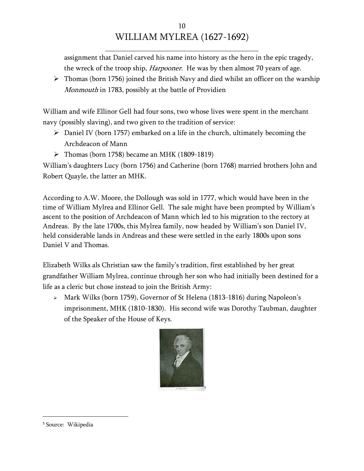\_\_\_\_\_\_\_\_\_\_\_\_\_\_\_\_\_\_\_\_\_\_\_\_\_\_\_\_\_\_\_\_\_\_\_\_\_\_\_\_\_\_\_

assignment that Daniel carved his name into history as the hero in the epic tragedy, the wreck of the troop ship, *Harpooner*. He was by then almost 70 years of age.

 $\triangleright$  Thomas (born 1756) joined the British Navy and died whilst an officer on the warship Monmouth in 1783, possibly at the battle of Providien

William and wife Ellinor Gell had four sons, two whose lives were spent in the merchant navy (possibly slaving), and two given to the tradition of service:

- $\triangleright$  Daniel IV (born 1757) embarked on a life in the church, ultimately becoming the Archdeacon of Mann
- $\triangleright$  Thomas (born 1758) became an MHK (1809-1819)

William's daughters Lucy (born 1756) and Catherine (born 1768) married brothers John and Robert Quayle, the latter an MHK.

According to A.W. Moore, the Dollough was sold in 1777, which would have been in the time of William Mylrea and Ellinor Gell. The sale might have been prompted by William's ascent to the position of Archdeacon of Mann which led to his migration to the rectory at Andreas. By the late 1700s, this Mylrea family, now headed by William's son Daniel IV, held considerable lands in Andreas and these were settled in the early 1800s upon sons Daniel V and Thomas.

Elizabeth Wilks als Christian saw the family's tradition, first established by her great grandfather William Mylrea, continue through her son who had initially been destined for a life as a cleric but chose instead to join the British Army:

 Mark Wilks (born 1759), Governor of St Helena (1813-1816) during Napoleon's imprisonment, MHK (1810-1830). His second wife was Dorothy Taubman, daughter of the Speaker of the House of Keys.



 $\overline{a}$ 

<sup>5</sup> Source: Wikipedia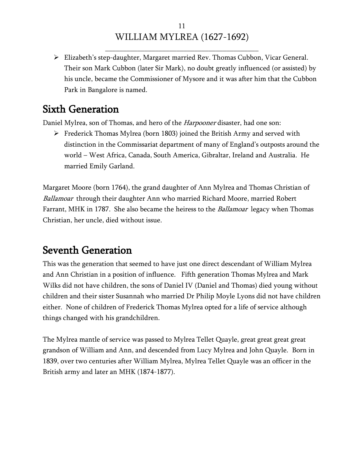\_\_\_\_\_\_\_\_\_\_\_\_\_\_\_\_\_\_\_\_\_\_\_\_\_\_\_\_\_\_\_\_\_\_\_\_\_\_\_\_\_\_\_

 Elizabeth's step-daughter, Margaret married Rev. Thomas Cubbon, Vicar General. Their son Mark Cubbon (later Sir Mark), no doubt greatly influenced (or assisted) by his uncle, became the Commissioner of Mysore and it was after him that the Cubbon Park in Bangalore is named.

### <span id="page-10-0"></span>Sixth Generation

Daniel Mylrea, son of Thomas, and hero of the *Harpooner* disaster, had one son:

 $\triangleright$  Frederick Thomas Mylrea (born 1803) joined the British Army and served with distinction in the Commissariat department of many of England's outposts around the world – West Africa, Canada, South America, Gibraltar, Ireland and Australia. He married Emily Garland.

Margaret Moore (born 1764), the grand daughter of Ann Mylrea and Thomas Christian of Ballamoar through their daughter Ann who married Richard Moore, married Robert Farrant, MHK in 1787. She also became the heiress to the Ballamoar legacy when Thomas Christian, her uncle, died without issue.

## <span id="page-10-1"></span>Seventh Generation

This was the generation that seemed to have just one direct descendant of William Mylrea and Ann Christian in a position of influence. Fifth generation Thomas Mylrea and Mark Wilks did not have children, the sons of Daniel IV (Daniel and Thomas) died young without children and their sister Susannah who married Dr Philip Moyle Lyons did not have children either. None of children of Frederick Thomas Mylrea opted for a life of service although things changed with his grandchildren.

The Mylrea mantle of service was passed to Mylrea Tellet Quayle, great great great great grandson of William and Ann, and descended from Lucy Mylrea and John Quayle. Born in 1839, over two centuries after William Mylrea, Mylrea Tellet Quayle was an officer in the British army and later an MHK (1874-1877).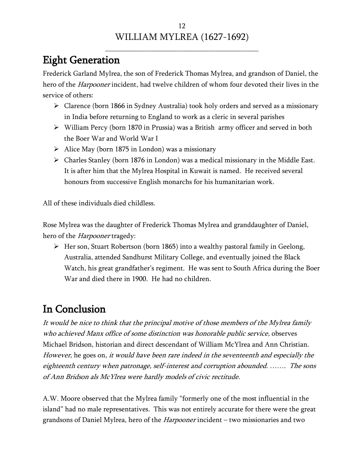## <span id="page-11-0"></span>Eight Generation

Frederick Garland Mylrea, the son of Frederick Thomas Mylrea, and grandson of Daniel, the hero of the *Harpooner* incident, had twelve children of whom four devoted their lives in the service of others:

- $\triangleright$  Clarence (born 1866 in Sydney Australia) took holy orders and served as a missionary in India before returning to England to work as a cleric in several parishes
- William Percy (born 1870 in Prussia) was a British army officer and served in both the Boer War and World War I
- $\triangleright$  Alice May (born 1875 in London) was a missionary
- Charles Stanley (born 1876 in London) was a medical missionary in the Middle East. It is after him that the Mylrea Hospital in Kuwait is named. He received several honours from successive English monarchs for his humanitarian work.

All of these individuals died childless.

Rose Mylrea was the daughter of Frederick Thomas Mylrea and granddaughter of Daniel, hero of the *Harpooner* tragedy:

 $\triangleright$  Her son, Stuart Robertson (born 1865) into a wealthy pastoral family in Geelong, Australia, attended Sandhurst Military College, and eventually joined the Black Watch, his great grandfather's regiment. He was sent to South Africa during the Boer War and died there in 1900. He had no children.

## <span id="page-11-1"></span>In Conclusion

It would be nice to think that the principal motive of those members of the Mylrea family who achieved Manx office of some distinction was honorable public service, observes Michael Bridson, historian and direct descendant of William McYlrea and Ann Christian. However, he goes on, it would have been rare indeed in the seventeenth and especially the eighteenth century when patronage, self-interest and corruption abounded. ……. The sons of Ann Bridson als McYlrea were hardly models of civic rectitude.

A.W. Moore observed that the Mylrea family "formerly one of the most influential in the island" had no male representatives. This was not entirely accurate for there were the great grandsons of Daniel Mylrea, hero of the *Harpooner* incident – two missionaries and two